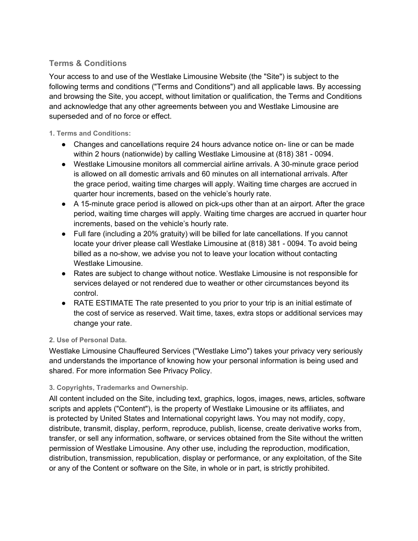# **Terms & Conditions**

Your access to and use of the Westlake Limousine Website (the "Site") is subject to the following terms and conditions ("Terms and Conditions") and all applicable laws. By accessing and browsing the Site, you accept, without limitation or qualification, the Terms and Conditions and acknowledge that any other agreements between you and Westlake Limousine are superseded and of no force or effect.

### **1. Terms and Conditions:**

- Changes and cancellations require 24 hours advance notice on-line or can be made within 2 hours (nationwide) by calling Westlake Limousine at (818) 381 - 0094.
- Westlake Limousine monitors all commercial airline arrivals. A 30-minute grace period is allowed on all domestic arrivals and 60 minutes on all international arrivals. After the grace period, waiting time charges will apply. Waiting time charges are accrued in quarter hour increments, based on the vehicle's hourly rate.
- A 15-minute grace period is allowed on pick-ups other than at an airport. After the grace period, waiting time charges will apply. Waiting time charges are accrued in quarter hour increments, based on the vehicle's hourly rate.
- Full fare (including a 20% gratuity) will be billed for late cancellations. If you cannot locate your driver please call Westlake Limousine at (818) 381 - 0094. To avoid being billed as a no-show, we advise you not to leave your location without contacting Westlake Limousine.
- Rates are subject to change without notice. Westlake Limousine is not responsible for services delayed or not rendered due to weather or other circumstances beyond its control.
- RATE ESTIMATE The rate presented to you prior to your trip is an initial estimate of the cost of service as reserved. Wait time, taxes, extra stops or additional services may change your rate.

## **2. Use of Personal Data.**

Westlake Limousine Chauffeured Services ("Westlake Limo") takes your privacy very seriously and understands the importance of knowing how your personal information is being used and shared. For more information See Privacy Policy.

## **3. Copyrights, Trademarks and Ownership.**

All content included on the Site, including text, graphics, logos, images, news, articles, software scripts and applets ("Content"), is the property of Westlake Limousine or its affiliates, and is protected by United States and International copyright laws. You may not modify, copy, distribute, transmit, display, perform, reproduce, publish, license, create derivative works from, transfer, or sell any information, software, or services obtained from the Site without the written permission of Westlake Limousine. Any other use, including the reproduction, modification, distribution, transmission, republication, display or performance, or any exploitation, of the Site or any of the Content or software on the Site, in whole or in part, is strictly prohibited.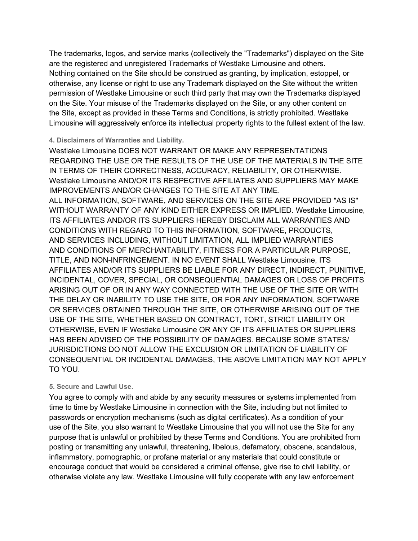The trademarks, logos, and service marks (collectively the "Trademarks") displayed on the Site are the registered and unregistered Trademarks of Westlake Limousine and others. Nothing contained on the Site should be construed as granting, by implication, estoppel, or otherwise, any license or right to use any Trademark displayed on the Site without the written permission of Westlake Limousine or such third party that may own the Trademarks displayed on the Site. Your misuse of the Trademarks displayed on the Site, or any other content on the Site, except as provided in these Terms and Conditions, is strictly prohibited. Westlake Limousine will aggressively enforce its intellectual property rights to the fullest extent of the law.

#### **4. Disclaimers of Warranties and Liability.**

Westlake Limousine DOES NOT WARRANT OR MAKE ANY REPRESENTATIONS REGARDING THE USE OR THE RESULTS OF THE USE OF THE MATERIALS IN THE SITE IN TERMS OF THEIR CORRECTNESS, ACCURACY, RELIABILITY, OR OTHERWISE. Westlake Limousine AND/OR ITS RESPECTIVE AFFILIATES AND SUPPLIERS MAY MAKE IMPROVEMENTS AND/OR CHANGES TO THE SITE AT ANY TIME. ALL INFORMATION, SOFTWARE, AND SERVICES ON THE SITE ARE PROVIDED "AS IS" WITHOUT WARRANTY OF ANY KIND EITHER EXPRESS OR IMPLIED. Westlake Limousine, ITS AFFILIATES AND/OR ITS SUPPLIERS HEREBY DISCLAIM ALL WARRANTIES AND CONDITIONS WITH REGARD TO THIS INFORMATION, SOFTWARE, PRODUCTS, AND SERVICES INCLUDING, WITHOUT LIMITATION, ALL IMPLIED WARRANTIES AND CONDITIONS OF MERCHANTABILITY, FITNESS FOR A PARTICULAR PURPOSE, TITLE, AND NON-INFRINGEMENT. IN NO EVENT SHALL Westlake Limousine, ITS AFFILIATES AND/OR ITS SUPPLIERS BE LIABLE FOR ANY DIRECT, INDIRECT, PUNITIVE, INCIDENTAL, COVER, SPECIAL, OR CONSEQUENTIAL DAMAGES OR LOSS OF PROFITS ARISING OUT OF OR IN ANY WAY CONNECTED WITH THE USE OF THE SITE OR WITH THE DELAY OR INABILITY TO USE THE SITE, OR FOR ANY INFORMATION, SOFTWARE OR SERVICES OBTAINED THROUGH THE SITE, OR OTHERWISE ARISING OUT OF THE USE OF THE SITE, WHETHER BASED ON CONTRACT, TORT, STRICT LIABILITY OR OTHERWISE, EVEN IF Westlake Limousine OR ANY OF ITS AFFILIATES OR SUPPLIERS HAS BEEN ADVISED OF THE POSSIBILITY OF DAMAGES. BECAUSE SOME STATES/ JURISDICTIONS DO NOT ALLOW THE EXCLUSION OR LIMITATION OF LIABILITY OF CONSEQUENTIAL OR INCIDENTAL DAMAGES, THE ABOVE LIMITATION MAY NOT APPLY TO YOU.

#### **5. Secure and Lawful Use.**

You agree to comply with and abide by any security measures or systems implemented from time to time by Westlake Limousine in connection with the Site, including but not limited to passwords or encryption mechanisms (such as digital certificates). As a condition of your use of the Site, you also warrant to Westlake Limousine that you will not use the Site for any purpose that is unlawful or prohibited by these Terms and Conditions. You are prohibited from posting or transmitting any unlawful, threatening, libelous, defamatory, obscene, scandalous, inflammatory, pornographic, or profane material or any materials that could constitute or encourage conduct that would be considered a criminal offense, give rise to civil liability, or otherwise violate any law. Westlake Limousine will fully cooperate with any law enforcement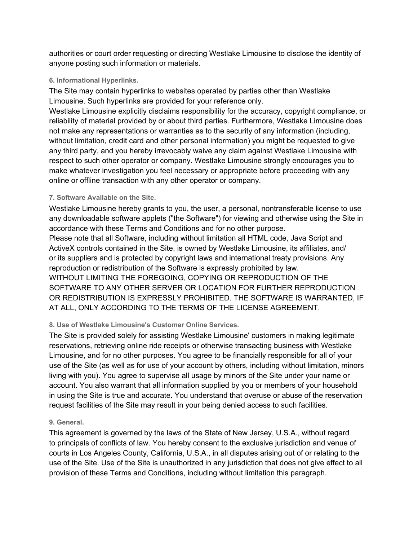authorities or court order requesting or directing Westlake Limousine to disclose the identity of anyone posting such information or materials.

## **6. Informational Hyperlinks.**

The Site may contain hyperlinks to websites operated by parties other than Westlake Limousine. Such hyperlinks are provided for your reference only.

Westlake Limousine explicitly disclaims responsibility for the accuracy, copyright compliance, or reliability of material provided by or about third parties. Furthermore, Westlake Limousine does not make any representations or warranties as to the security of any information (including, without limitation, credit card and other personal information) you might be requested to give any third party, and you hereby irrevocably waive any claim against Westlake Limousine with respect to such other operator or company. Westlake Limousine strongly encourages you to make whatever investigation you feel necessary or appropriate before proceeding with any online or offline transaction with any other operator or company.

## **7. Software Available on the Site.**

Westlake Limousine hereby grants to you, the user, a personal, nontransferable license to use any downloadable software applets ("the Software") for viewing and otherwise using the Site in accordance with these Terms and Conditions and for no other purpose.

Please note that all Software, including without limitation all HTML code, Java Script and ActiveX controls contained in the Site, is owned by Westlake Limousine, its affiliates, and/ or its suppliers and is protected by copyright laws and international treaty provisions. Any reproduction or redistribution of the Software is expressly prohibited by law. WITHOUT LIMITING THE FOREGOING, COPYING OR REPRODUCTION OF THE SOFTWARE TO ANY OTHER SERVER OR LOCATION FOR FURTHER REPRODUCTION OR REDISTRIBUTION IS EXPRESSLY PROHIBITED. THE SOFTWARE IS WARRANTED, IF AT ALL, ONLY ACCORDING TO THE TERMS OF THE LICENSE AGREEMENT.

## **8. Use of Westlake Limousine's Customer Online Services.**

The Site is provided solely for assisting Westlake Limousine' customers in making legitimate reservations, retrieving online ride receipts or otherwise transacting business with Westlake Limousine, and for no other purposes. You agree to be financially responsible for all of your use of the Site (as well as for use of your account by others, including without limitation, minors living with you). You agree to supervise all usage by minors of the Site under your name or account. You also warrant that all information supplied by you or members of your household in using the Site is true and accurate. You understand that overuse or abuse of the reservation request facilities of the Site may result in your being denied access to such facilities.

## **9. General.**

This agreement is governed by the laws of the State of New Jersey, U.S.A., without regard to principals of conflicts of law. You hereby consent to the exclusive jurisdiction and venue of courts in Los Angeles County, California, U.S.A., in all disputes arising out of or relating to the use of the Site. Use of the Site is unauthorized in any jurisdiction that does not give effect to all provision of these Terms and Conditions, including without limitation this paragraph.